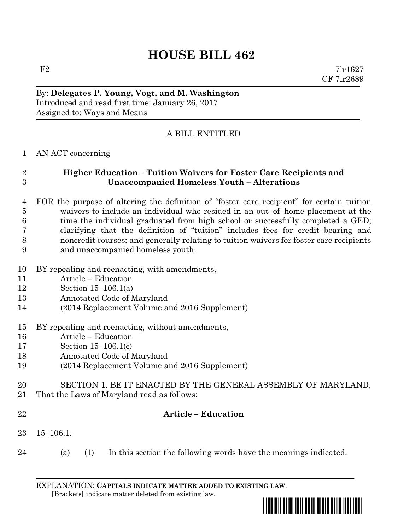# **HOUSE BILL 462**

 $F2$  7lr1627 CF 7lr2689

## By: **Delegates P. Young, Vogt, and M. Washington** Introduced and read first time: January 26, 2017 Assigned to: Ways and Means

## A BILL ENTITLED

### AN ACT concerning

## **Higher Education – Tuition Waivers for Foster Care Recipients and Unaccompanied Homeless Youth – Alterations**

- FOR the purpose of altering the definition of "foster care recipient" for certain tuition waivers to include an individual who resided in an out–of–home placement at the time the individual graduated from high school or successfully completed a GED; clarifying that the definition of "tuition" includes fees for credit–bearing and noncredit courses; and generally relating to tuition waivers for foster care recipients and unaccompanied homeless youth.
- BY repealing and reenacting, with amendments,
- Article Education
- Section 15–106.1(a)
- Annotated Code of Maryland
- (2014 Replacement Volume and 2016 Supplement)
- BY repealing and reenacting, without amendments,
- Article Education
- Section 15–106.1(c)
- Annotated Code of Maryland
- (2014 Replacement Volume and 2016 Supplement)
- SECTION 1. BE IT ENACTED BY THE GENERAL ASSEMBLY OF MARYLAND, That the Laws of Maryland read as follows:
- 

### **Article – Education**

- 15–106.1.
- (a) (1) In this section the following words have the meanings indicated.

EXPLANATION: **CAPITALS INDICATE MATTER ADDED TO EXISTING LAW**.  **[**Brackets**]** indicate matter deleted from existing law.

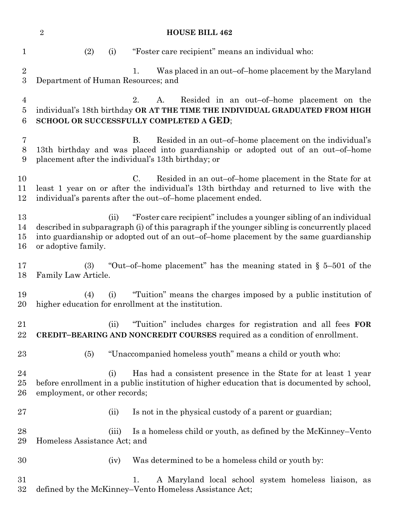**HOUSE BILL 462** (2) (i) "Foster care recipient" means an individual who: 2 1. Was placed in an out–of–home placement by the Maryland Department of Human Resources; and 2. A. Resided in an out–of–home placement on the individual's 18th birthday **OR AT THE TIME THE INDIVIDUAL GRADUATED FROM HIGH SCHOOL OR SUCCESSFULLY COMPLETED A GED**; B. Resided in an out–of–home placement on the individual's 13th birthday and was placed into guardianship or adopted out of an out–of–home placement after the individual's 13th birthday; or C. Resided in an out–of–home placement in the State for at least 1 year on or after the individual's 13th birthday and returned to live with the individual's parents after the out–of–home placement ended. (ii) "Foster care recipient" includes a younger sibling of an individual described in subparagraph (i) of this paragraph if the younger sibling is concurrently placed into guardianship or adopted out of an out–of–home placement by the same guardianship or adoptive family. (3) "Out–of–home placement" has the meaning stated in § 5–501 of the Family Law Article. (4) (i) "Tuition" means the charges imposed by a public institution of higher education for enrollment at the institution. (ii) "Tuition" includes charges for registration and all fees **FOR CREDIT–BEARING AND NONCREDIT COURSES** required as a condition of enrollment. (5) "Unaccompanied homeless youth" means a child or youth who: (i) Has had a consistent presence in the State for at least 1 year before enrollment in a public institution of higher education that is documented by school, employment, or other records; 27 (ii) Is not in the physical custody of a parent or guardian; (iii) Is a homeless child or youth, as defined by the McKinney–Vento Homeless Assistance Act; and (iv) Was determined to be a homeless child or youth by: 1. A Maryland local school system homeless liaison, as defined by the McKinney–Vento Homeless Assistance Act;